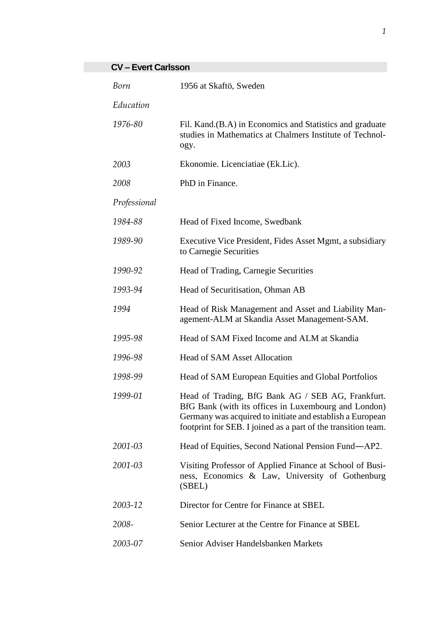## **CV – Evert Carlsson**

| Born         | 1956 at Skaftö, Sweden                                                                                                                                                                                                                  |
|--------------|-----------------------------------------------------------------------------------------------------------------------------------------------------------------------------------------------------------------------------------------|
| Education    |                                                                                                                                                                                                                                         |
| 1976-80      | Fil. Kand. (B.A) in Economics and Statistics and graduate<br>studies in Mathematics at Chalmers Institute of Technol-<br>ogy.                                                                                                           |
| 2003         | Ekonomie. Licenciatiae (Ek.Lic).                                                                                                                                                                                                        |
| 2008         | PhD in Finance.                                                                                                                                                                                                                         |
| Professional |                                                                                                                                                                                                                                         |
| 1984-88      | Head of Fixed Income, Swedbank                                                                                                                                                                                                          |
| 1989-90      | Executive Vice President, Fides Asset Mgmt, a subsidiary<br>to Carnegie Securities                                                                                                                                                      |
| 1990-92      | Head of Trading, Carnegie Securities                                                                                                                                                                                                    |
| 1993-94      | Head of Securitisation, Ohman AB                                                                                                                                                                                                        |
| 1994         | Head of Risk Management and Asset and Liability Man-<br>agement-ALM at Skandia Asset Management-SAM.                                                                                                                                    |
| 1995-98      | Head of SAM Fixed Income and ALM at Skandia                                                                                                                                                                                             |
| 1996-98      | <b>Head of SAM Asset Allocation</b>                                                                                                                                                                                                     |
| 1998-99      | Head of SAM European Equities and Global Portfolios                                                                                                                                                                                     |
| 1999-01      | Head of Trading, BfG Bank AG / SEB AG, Frankfurt.<br>BfG Bank (with its offices in Luxembourg and London)<br>Germany was acquired to initiate and establish a European<br>footprint for SEB. I joined as a part of the transition team. |
| 2001-03      | Head of Equities, Second National Pension Fund—AP2.                                                                                                                                                                                     |
| 2001-03      | Visiting Professor of Applied Finance at School of Busi-<br>ness, Economics & Law, University of Gothenburg<br>(SBEL)                                                                                                                   |
| 2003-12      | Director for Centre for Finance at SBEL                                                                                                                                                                                                 |
| 2008-        | Senior Lecturer at the Centre for Finance at SBEL                                                                                                                                                                                       |
| 2003-07      | Senior Adviser Handelsbanken Markets                                                                                                                                                                                                    |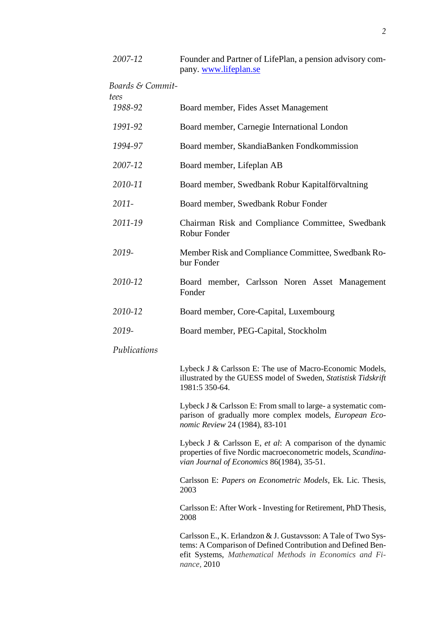| 2007-12          | Founder and Partner of LifePlan, a pension advisory com-<br>pany. www.lifeplan.se                                                                                       |
|------------------|-------------------------------------------------------------------------------------------------------------------------------------------------------------------------|
| Boards & Commit- |                                                                                                                                                                         |
| tees<br>1988-92  | Board member, Fides Asset Management                                                                                                                                    |
| 1991-92          | Board member, Carnegie International London                                                                                                                             |
| 1994-97          | Board member, SkandiaBanken Fondkommission                                                                                                                              |
| 2007-12          | Board member, Lifeplan AB                                                                                                                                               |
| 2010-11          | Board member, Swedbank Robur Kapitalförvaltning                                                                                                                         |
| $2011 -$         | Board member, Swedbank Robur Fonder                                                                                                                                     |
| 2011-19          | Chairman Risk and Compliance Committee, Swedbank<br><b>Robur Fonder</b>                                                                                                 |
| 2019-            | Member Risk and Compliance Committee, Swedbank Ro-<br>bur Fonder                                                                                                        |
| 2010-12          | Board member, Carlsson Noren Asset Management<br>Fonder                                                                                                                 |
| 2010-12          | Board member, Core-Capital, Luxembourg                                                                                                                                  |
| 2019-            | Board member, PEG-Capital, Stockholm                                                                                                                                    |
| Publications     |                                                                                                                                                                         |
|                  | Lybeck J & Carlsson E: The use of Macro-Economic Models,<br>illustrated by the GUESS model of Sweden, Statistisk Tidskrift<br>1981:5 350-64.                            |
|                  | Lybeck J & Carlsson E: From small to large- a systematic com-<br>parison of gradually more complex models, European Eco-<br>nomic Review 24 (1984), 83-101              |
|                  | Lybeck J & Carlsson E, et al: A comparison of the dynamic<br>properties of five Nordic macroeconometric models, Scandina-<br>vian Journal of Economics 86(1984), 35-51. |
|                  | Carlsson E: Papers on Econometric Models, Ek. Lic. Thesis,<br>2003                                                                                                      |
|                  | Carlsson E: After Work - Investing for Retirement, PhD Thesis,<br>2008                                                                                                  |
|                  | Carlsson E., K. Erlandzon & J. Gustavsson: A Tale of Two Sys-<br>tems: A Comparison of Defined Contribution and Defined Ben-                                            |

tems: A Comparison of Defined Contribution and Defined Benefit Systems, *Mathematical Methods in Economics and Finance,* 2010